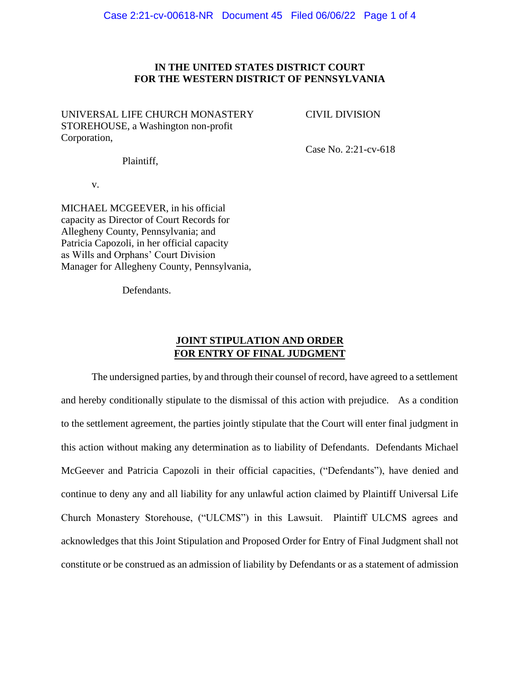## **IN THE UNITED STATES DISTRICT COURT FOR THE WESTERN DISTRICT OF PENNSYLVANIA**

UNIVERSAL LIFE CHURCH MONASTERY CIVIL DIVISION STOREHOUSE, a Washington non-profit Corporation,

Case No. 2:21-cv-618

Plaintiff,

v.

MICHAEL MCGEEVER, in his official capacity as Director of Court Records for Allegheny County, Pennsylvania; and Patricia Capozoli, in her official capacity as Wills and Orphans' Court Division Manager for Allegheny County, Pennsylvania,

Defendants.

# **JOINT STIPULATION AND ORDER FOR ENTRY OF FINAL JUDGMENT**

The undersigned parties, by and through their counsel of record, have agreed to a settlement and hereby conditionally stipulate to the dismissal of this action with prejudice. As a condition to the settlement agreement, the parties jointly stipulate that the Court will enter final judgment in this action without making any determination as to liability of Defendants. Defendants Michael McGeever and Patricia Capozoli in their official capacities, ("Defendants"), have denied and continue to deny any and all liability for any unlawful action claimed by Plaintiff Universal Life Church Monastery Storehouse, ("ULCMS") in this Lawsuit. Plaintiff ULCMS agrees and acknowledges that this Joint Stipulation and Proposed Order for Entry of Final Judgment shall not constitute or be construed as an admission of liability by Defendants or as a statement of admission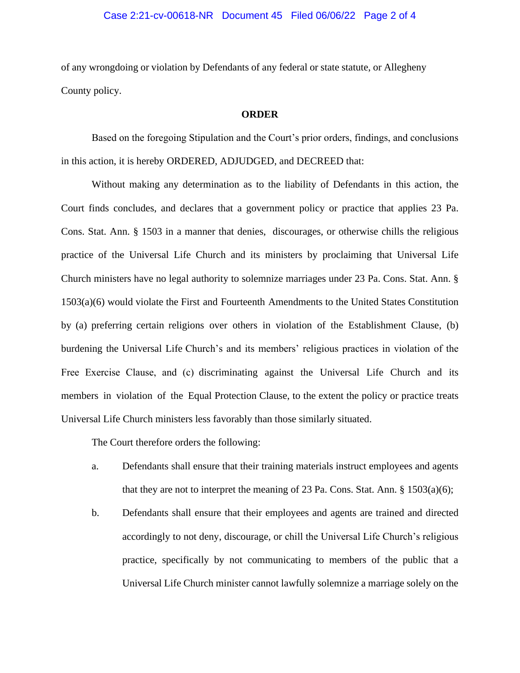### Case 2:21-cv-00618-NR Document 45 Filed 06/06/22 Page 2 of 4

of any wrongdoing or violation by Defendants of any federal or state statute, or Allegheny County policy.

#### **ORDER**

Based on the foregoing Stipulation and the Court's prior orders, findings, and conclusions in this action, it is hereby ORDERED, ADJUDGED, and DECREED that:

Without making any determination as to the liability of Defendants in this action, the Court finds concludes, and declares that a government policy or practice that applies 23 Pa. Cons. Stat. Ann. § 1503 in a manner that denies, discourages, or otherwise chills the religious practice of the Universal Life Church and its ministers by proclaiming that Universal Life Church ministers have no legal authority to solemnize marriages under 23 Pa. Cons. Stat. Ann. § 1503(a)(6) would violate the First and Fourteenth Amendments to the United States Constitution by (a) preferring certain religions over others in violation of the Establishment Clause, (b) burdening the Universal Life Church's and its members' religious practices in violation of the Free Exercise Clause, and (c) discriminating against the Universal Life Church and its members in violation of the Equal Protection Clause, to the extent the policy or practice treats Universal Life Church ministers less favorably than those similarly situated.

The Court therefore orders the following:

- a. Defendants shall ensure that their training materials instruct employees and agents that they are not to interpret the meaning of 23 Pa. Cons. Stat. Ann.  $\S$  1503(a)(6);
- b. Defendants shall ensure that their employees and agents are trained and directed accordingly to not deny, discourage, or chill the Universal Life Church's religious practice, specifically by not communicating to members of the public that a Universal Life Church minister cannot lawfully solemnize a marriage solely on the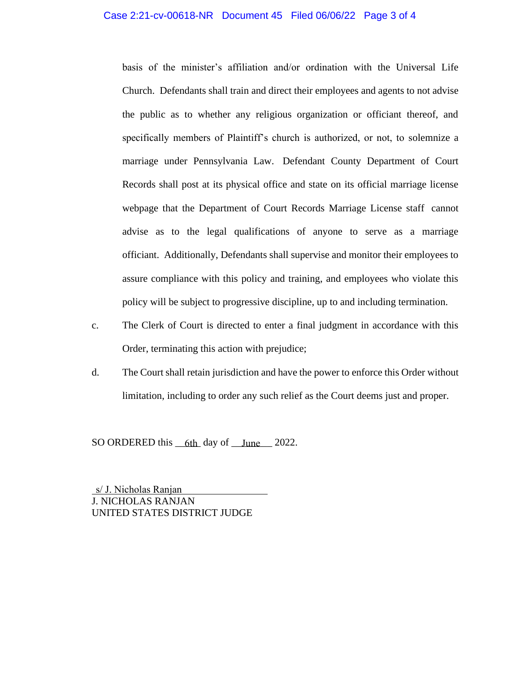### Case 2:21-cv-00618-NR Document 45 Filed 06/06/22 Page 3 of 4

basis of the minister's affiliation and/or ordination with the Universal Life Church. Defendants shall train and direct their employees and agents to not advise the public as to whether any religious organization or officiant thereof, and specifically members of Plaintiff's church is authorized, or not, to solemnize a marriage under Pennsylvania Law. Defendant County Department of Court Records shall post at its physical office and state on its official marriage license webpage that the Department of Court Records Marriage License staff cannot advise as to the legal qualifications of anyone to serve as a marriage officiant. Additionally, Defendants shall supervise and monitor their employees to assure compliance with this policy and training, and employees who violate this policy will be subject to progressive discipline, up to and including termination.

- c. The Clerk of Court is directed to enter a final judgment in accordance with this Order, terminating this action with prejudice;
- d. The Court shall retain jurisdiction and have the power to enforce this Order without limitation, including to order any such relief as the Court deems just and proper.

SO ORDERED this <u>6th</u> day of <u>June</u> 2022.

J. NICHOLAS RANJAN UNITED STATES DISTRICT JUDGE s/ J. Nicholas Ranjan